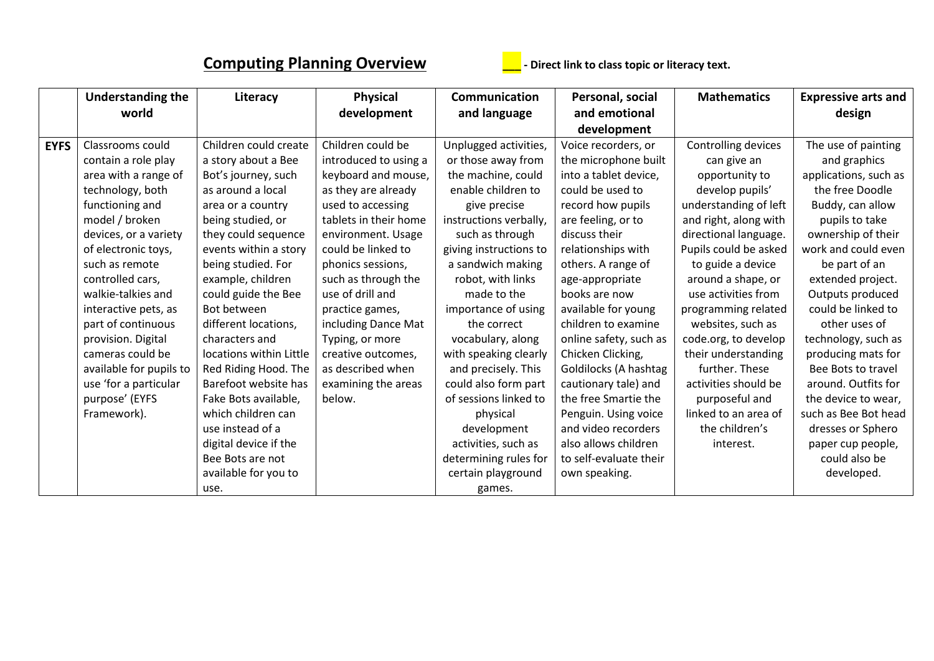## **Computing Planning Overview 1997 - Interact Unit of the Senarch Computing Planning Overview**



|             | <b>Understanding the</b> | Literacy                | <b>Physical</b>       | <b>Communication</b>   | Personal, social       | <b>Mathematics</b>    | <b>Expressive arts and</b> |
|-------------|--------------------------|-------------------------|-----------------------|------------------------|------------------------|-----------------------|----------------------------|
|             | world                    |                         | development           | and language           | and emotional          |                       | design                     |
|             |                          |                         |                       |                        | development            |                       |                            |
| <b>EYFS</b> | Classrooms could         | Children could create   | Children could be     | Unplugged activities,  | Voice recorders, or    | Controlling devices   | The use of painting        |
|             | contain a role play      | a story about a Bee     | introduced to using a | or those away from     | the microphone built   | can give an           | and graphics               |
|             | area with a range of     | Bot's journey, such     | keyboard and mouse,   | the machine, could     | into a tablet device,  | opportunity to        | applications, such as      |
|             | technology, both         | as around a local       | as they are already   | enable children to     | could be used to       | develop pupils'       | the free Doodle            |
|             | functioning and          | area or a country       | used to accessing     | give precise           | record how pupils      | understanding of left | Buddy, can allow           |
|             | model / broken           | being studied, or       | tablets in their home | instructions verbally, | are feeling, or to     | and right, along with | pupils to take             |
|             | devices, or a variety    | they could sequence     | environment. Usage    | such as through        | discuss their          | directional language. | ownership of their         |
|             | of electronic toys,      | events within a story   | could be linked to    | giving instructions to | relationships with     | Pupils could be asked | work and could even        |
|             | such as remote           | being studied. For      | phonics sessions,     | a sandwich making      | others. A range of     | to guide a device     | be part of an              |
|             | controlled cars,         | example, children       | such as through the   | robot, with links      | age-appropriate        | around a shape, or    | extended project.          |
|             | walkie-talkies and       | could guide the Bee     | use of drill and      | made to the            | books are now          | use activities from   | Outputs produced           |
|             | interactive pets, as     | Bot between             | practice games,       | importance of using    | available for young    | programming related   | could be linked to         |
|             | part of continuous       | different locations,    | including Dance Mat   | the correct            | children to examine    | websites, such as     | other uses of              |
|             | provision. Digital       | characters and          | Typing, or more       | vocabulary, along      | online safety, such as | code.org, to develop  | technology, such as        |
|             | cameras could be         | locations within Little | creative outcomes,    | with speaking clearly  | Chicken Clicking,      | their understanding   | producing mats for         |
|             | available for pupils to  | Red Riding Hood. The    | as described when     | and precisely. This    | Goldilocks (A hashtag  | further. These        | Bee Bots to travel         |
|             | use 'for a particular    | Barefoot website has    | examining the areas   | could also form part   | cautionary tale) and   | activities should be  | around. Outfits for        |
|             | purpose' (EYFS           | Fake Bots available,    | below.                | of sessions linked to  | the free Smartie the   | purposeful and        | the device to wear,        |
|             | Framework).              | which children can      |                       | physical               | Penguin. Using voice   | linked to an area of  | such as Bee Bot head       |
|             |                          | use instead of a        |                       | development            | and video recorders    | the children's        | dresses or Sphero          |
|             |                          | digital device if the   |                       | activities, such as    | also allows children   | interest.             | paper cup people,          |
|             |                          | Bee Bots are not        |                       | determining rules for  | to self-evaluate their |                       | could also be              |
|             |                          | available for you to    |                       | certain playground     | own speaking.          |                       | developed.                 |
|             |                          | use.                    |                       | games.                 |                        |                       |                            |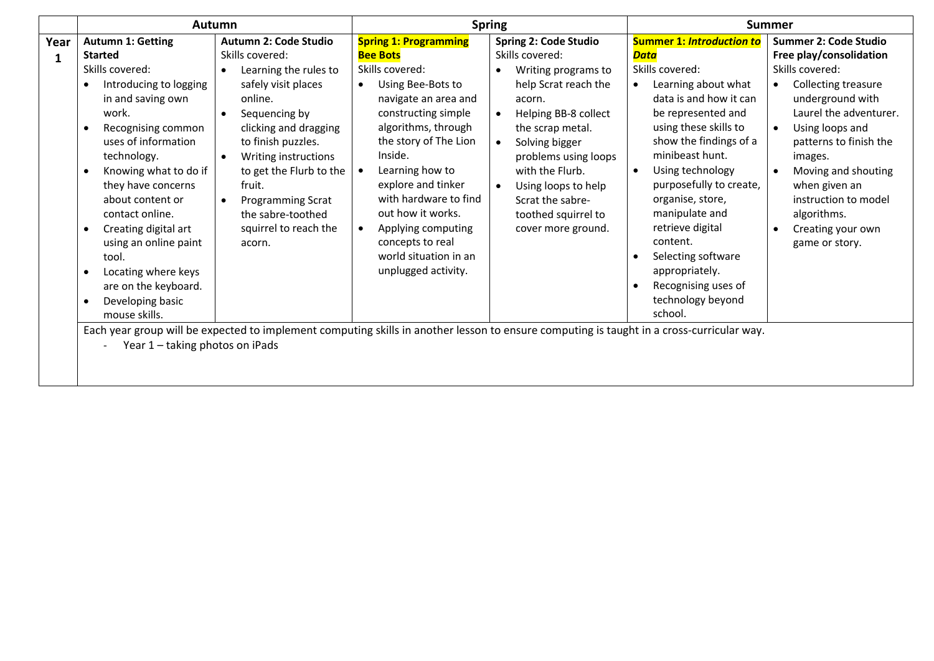| Year<br>1 | <b>Autumn 1: Getting</b><br><b>Started</b><br>Skills covered:<br>Introducing to logging<br>in and saving own                                                                                                                                                                                          | <b>Autumn 2: Code Studio</b><br>Skills covered:<br>Learning the rules to<br>safely visit places                                                                                                                                             | <b>Spring 1: Programming</b><br><b>Bee Bots</b><br>Skills covered:                                                                                                                                                                                                                                                                     | <b>Spring 2: Code Studio</b><br>Skills covered:<br>Writing programs to                                                                                                                                                                                    | <b>Summer 1: Introduction to</b><br>Data                                                                                                                                                                                                                                                                                                                                                                                                                                                                                      | <b>Summer 2: Code Studio</b><br>Free play/consolidation                                                                                                                                                                                                                         |
|-----------|-------------------------------------------------------------------------------------------------------------------------------------------------------------------------------------------------------------------------------------------------------------------------------------------------------|---------------------------------------------------------------------------------------------------------------------------------------------------------------------------------------------------------------------------------------------|----------------------------------------------------------------------------------------------------------------------------------------------------------------------------------------------------------------------------------------------------------------------------------------------------------------------------------------|-----------------------------------------------------------------------------------------------------------------------------------------------------------------------------------------------------------------------------------------------------------|-------------------------------------------------------------------------------------------------------------------------------------------------------------------------------------------------------------------------------------------------------------------------------------------------------------------------------------------------------------------------------------------------------------------------------------------------------------------------------------------------------------------------------|---------------------------------------------------------------------------------------------------------------------------------------------------------------------------------------------------------------------------------------------------------------------------------|
|           |                                                                                                                                                                                                                                                                                                       |                                                                                                                                                                                                                                             |                                                                                                                                                                                                                                                                                                                                        |                                                                                                                                                                                                                                                           |                                                                                                                                                                                                                                                                                                                                                                                                                                                                                                                               |                                                                                                                                                                                                                                                                                 |
|           | work.<br>Recognising common<br>uses of information<br>technology.<br>Knowing what to do if<br>they have concerns<br>about content or<br>contact online.<br>Creating digital art<br>using an online paint<br>tool.<br>Locating where keys<br>are on the keyboard.<br>Developing basic<br>mouse skills. | online.<br>Sequencing by<br>$\bullet$<br>clicking and dragging<br>to finish puzzles.<br>Writing instructions<br>$\bullet$<br>to get the Flurb to the<br>fruit.<br>Programming Scrat<br>the sabre-toothed<br>squirrel to reach the<br>acorn. | Using Bee-Bots to<br>$\bullet$<br>navigate an area and<br>constructing simple<br>algorithms, through<br>the story of The Lion<br>Inside.<br>Learning how to<br>explore and tinker<br>with hardware to find<br>out how it works.<br>Applying computing<br>$\bullet$<br>concepts to real<br>world situation in an<br>unplugged activity. | help Scrat reach the<br>acorn.<br>Helping BB-8 collect<br>$\bullet$<br>the scrap metal.<br>Solving bigger<br>$\bullet$<br>problems using loops<br>with the Flurb.<br>Using loops to help<br>Scrat the sabre-<br>toothed squirrel to<br>cover more ground. | Skills covered:<br>Learning about what<br>data is and how it can<br>be represented and<br>using these skills to<br>show the findings of a<br>minibeast hunt.<br>Using technology<br>purposefully to create,<br>organise, store,<br>manipulate and<br>retrieve digital<br>content.<br>Selecting software<br>appropriately.<br>Recognising uses of<br>technology beyond<br>school.<br>Each year group will be expected to implement computing skills in another lesson to ensure computing is taught in a cross-curricular way. | Skills covered:<br>Collecting treasure<br>underground with<br>Laurel the adventurer.<br>Using loops and<br>$\bullet$<br>patterns to finish the<br>images.<br>Moving and shouting<br>when given an<br>instruction to model<br>algorithms.<br>Creating your own<br>game or story. |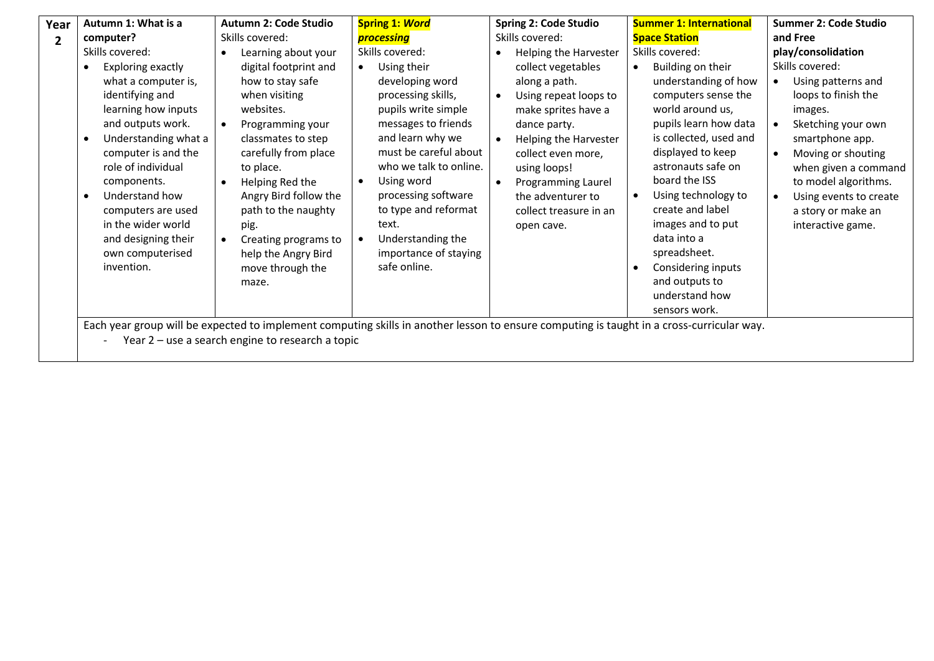| Year           | Autumn 1: What is a                                                                                                                                                                                                                                                                                                                          | Autumn 2: Code Studio                                                                                                                                                                                                                                                                                             | <b>Spring 1: Word</b>                                                                                                                                                                                                                                                                                                                   | Spring 2: Code Studio                                                                                                                                                                                                                                 | <b>Summer 1: International</b>                                                                                                                                                                                                                                                                                           | <b>Summer 2: Code Studio</b>                                                                                                                                                                                                                                |  |
|----------------|----------------------------------------------------------------------------------------------------------------------------------------------------------------------------------------------------------------------------------------------------------------------------------------------------------------------------------------------|-------------------------------------------------------------------------------------------------------------------------------------------------------------------------------------------------------------------------------------------------------------------------------------------------------------------|-----------------------------------------------------------------------------------------------------------------------------------------------------------------------------------------------------------------------------------------------------------------------------------------------------------------------------------------|-------------------------------------------------------------------------------------------------------------------------------------------------------------------------------------------------------------------------------------------------------|--------------------------------------------------------------------------------------------------------------------------------------------------------------------------------------------------------------------------------------------------------------------------------------------------------------------------|-------------------------------------------------------------------------------------------------------------------------------------------------------------------------------------------------------------------------------------------------------------|--|
| $\overline{2}$ | computer?                                                                                                                                                                                                                                                                                                                                    | Skills covered:                                                                                                                                                                                                                                                                                                   | processing                                                                                                                                                                                                                                                                                                                              | Skills covered:                                                                                                                                                                                                                                       | <b>Space Station</b>                                                                                                                                                                                                                                                                                                     | and Free                                                                                                                                                                                                                                                    |  |
|                | Skills covered:                                                                                                                                                                                                                                                                                                                              | Learning about your                                                                                                                                                                                                                                                                                               | Skills covered:                                                                                                                                                                                                                                                                                                                         | Helping the Harvester                                                                                                                                                                                                                                 | Skills covered:                                                                                                                                                                                                                                                                                                          | play/consolidation                                                                                                                                                                                                                                          |  |
|                | Exploring exactly<br>what a computer is,<br>identifying and<br>learning how inputs<br>and outputs work.<br>Understanding what a<br>$\bullet$<br>computer is and the<br>role of individual<br>components.<br>Understand how<br>$\bullet$<br>computers are used<br>in the wider world<br>and designing their<br>own computerised<br>invention. | digital footprint and<br>how to stay safe<br>when visiting<br>websites.<br>Programming your<br>classmates to step<br>carefully from place<br>to place.<br>Helping Red the<br>$\bullet$<br>Angry Bird follow the<br>path to the naughty<br>pig.<br>Creating programs to<br>help the Angry Bird<br>move through the | Using their<br>$\bullet$<br>developing word<br>processing skills,<br>pupils write simple<br>messages to friends<br>and learn why we<br>must be careful about<br>who we talk to online.<br>Using word<br>$\bullet$<br>processing software<br>to type and reformat<br>text.<br>Understanding the<br>importance of staying<br>safe online. | collect vegetables<br>along a path.<br>Using repeat loops to<br>make sprites have a<br>dance party.<br>Helping the Harvester<br>collect even more,<br>using loops!<br>Programming Laurel<br>the adventurer to<br>collect treasure in an<br>open cave. | Building on their<br>understanding of how<br>computers sense the<br>world around us,<br>pupils learn how data<br>is collected, used and<br>displayed to keep<br>astronauts safe on<br>board the ISS<br>Using technology to<br>create and label<br>images and to put<br>data into a<br>spreadsheet.<br>Considering inputs | Skills covered:<br>Using patterns and<br>loops to finish the<br>images.<br>Sketching your own<br>smartphone app.<br>Moving or shouting<br>when given a command<br>to model algorithms.<br>Using events to create<br>a story or make an<br>interactive game. |  |
|                |                                                                                                                                                                                                                                                                                                                                              | maze.                                                                                                                                                                                                                                                                                                             |                                                                                                                                                                                                                                                                                                                                         |                                                                                                                                                                                                                                                       | and outputs to<br>understand how<br>sensors work.                                                                                                                                                                                                                                                                        |                                                                                                                                                                                                                                                             |  |
|                | Each year group will be expected to implement computing skills in another lesson to ensure computing is taught in a cross-curricular way.<br>Year 2 – use a search engine to research a topic                                                                                                                                                |                                                                                                                                                                                                                                                                                                                   |                                                                                                                                                                                                                                                                                                                                         |                                                                                                                                                                                                                                                       |                                                                                                                                                                                                                                                                                                                          |                                                                                                                                                                                                                                                             |  |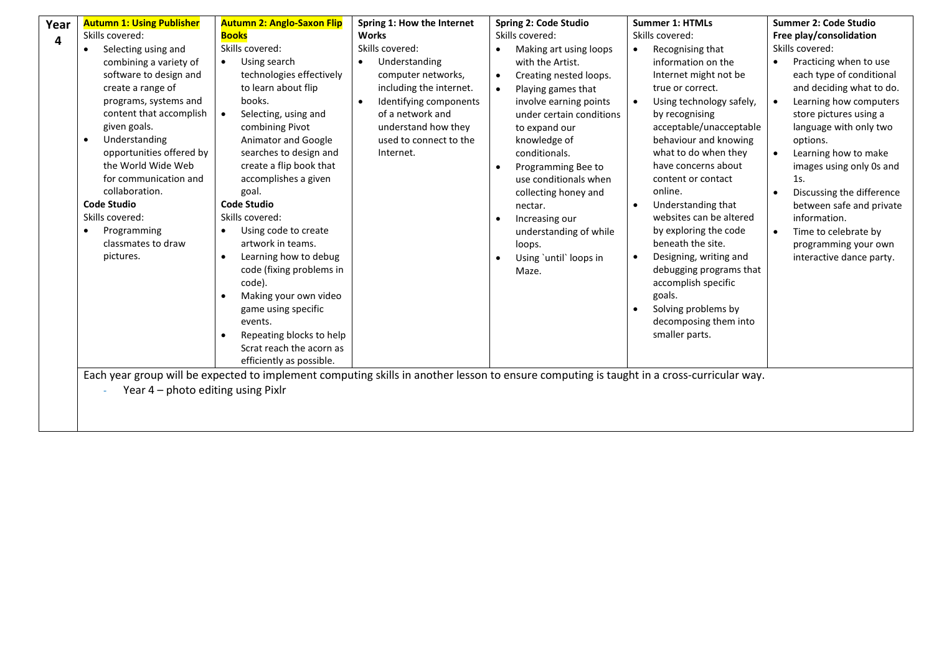| Year | <b>Autumn 1: Using Publisher</b>                                                                                                                                                                                                                                                                                                                                                            | <b>Autumn 2: Anglo-Saxon Flip</b>                                                                                                                                                                                                                                                                                                                                                                                                                                                                                                                                                                                                      | Spring 1: How the Internet                                                                                                                                                                                              | <b>Spring 2: Code Studio</b>                                                                                                                                                                                                                                                                                                                                                                            | <b>Summer 1: HTMLs</b>                                                                                                                                                                                                                                                                                                                                                                                                                                                                                                                                                                                                                                                    | Summer 2: Code Studio                                                                                                                                                                                                                                                                                                                                                                                          |
|------|---------------------------------------------------------------------------------------------------------------------------------------------------------------------------------------------------------------------------------------------------------------------------------------------------------------------------------------------------------------------------------------------|----------------------------------------------------------------------------------------------------------------------------------------------------------------------------------------------------------------------------------------------------------------------------------------------------------------------------------------------------------------------------------------------------------------------------------------------------------------------------------------------------------------------------------------------------------------------------------------------------------------------------------------|-------------------------------------------------------------------------------------------------------------------------------------------------------------------------------------------------------------------------|---------------------------------------------------------------------------------------------------------------------------------------------------------------------------------------------------------------------------------------------------------------------------------------------------------------------------------------------------------------------------------------------------------|---------------------------------------------------------------------------------------------------------------------------------------------------------------------------------------------------------------------------------------------------------------------------------------------------------------------------------------------------------------------------------------------------------------------------------------------------------------------------------------------------------------------------------------------------------------------------------------------------------------------------------------------------------------------------|----------------------------------------------------------------------------------------------------------------------------------------------------------------------------------------------------------------------------------------------------------------------------------------------------------------------------------------------------------------------------------------------------------------|
|      | Skills covered:                                                                                                                                                                                                                                                                                                                                                                             | <b>Books</b>                                                                                                                                                                                                                                                                                                                                                                                                                                                                                                                                                                                                                           | <b>Works</b>                                                                                                                                                                                                            | Skills covered:                                                                                                                                                                                                                                                                                                                                                                                         | Skills covered:                                                                                                                                                                                                                                                                                                                                                                                                                                                                                                                                                                                                                                                           | Free play/consolidation                                                                                                                                                                                                                                                                                                                                                                                        |
| 4    | Selecting using and<br>combining a variety of<br>software to design and<br>create a range of<br>programs, systems and<br>content that accomplish<br>given goals.<br>Understanding<br>$\bullet$<br>opportunities offered by<br>the World Wide Web<br>for communication and<br>collaboration.<br><b>Code Studio</b><br>Skills covered:<br>Programming<br>٠<br>classmates to draw<br>pictures. | Skills covered:<br>Using search<br>$\bullet$<br>technologies effectively<br>to learn about flip<br>books.<br>Selecting, using and<br>$\bullet$<br>combining Pivot<br>Animator and Google<br>searches to design and<br>create a flip book that<br>accomplishes a given<br>goal.<br><b>Code Studio</b><br>Skills covered:<br>Using code to create<br>$\bullet$<br>artwork in teams.<br>Learning how to debug<br>$\bullet$<br>code (fixing problems in<br>code).<br>Making your own video<br>$\bullet$<br>game using specific<br>events.<br>Repeating blocks to help<br>$\bullet$<br>Scrat reach the acorn as<br>efficiently as possible. | Skills covered:<br>Understanding<br>$\bullet$<br>computer networks,<br>including the internet.<br>Identifying components<br>$\bullet$<br>of a network and<br>understand how they<br>used to connect to the<br>Internet. | Making art using loops<br>with the Artist.<br>Creating nested loops.<br>$\bullet$<br>Playing games that<br>$\bullet$<br>involve earning points<br>under certain conditions<br>to expand our<br>knowledge of<br>conditionals.<br>Programming Bee to<br>use conditionals when<br>collecting honey and<br>nectar.<br>Increasing our<br>understanding of while<br>loops.<br>Using 'until' loops in<br>Maze. | Recognising that<br>information on the<br>Internet might not be<br>true or correct.<br>Using technology safely,<br>by recognising<br>acceptable/unacceptable<br>behaviour and knowing<br>what to do when they<br>have concerns about<br>content or contact<br>online.<br>Understanding that<br>websites can be altered<br>by exploring the code<br>beneath the site.<br>Designing, writing and<br>debugging programs that<br>accomplish specific<br>goals.<br>Solving problems by<br>decomposing them into<br>smaller parts.<br>Each year group will be expected to implement computing skills in another lesson to ensure computing is taught in a cross-curricular way. | Skills covered:<br>Practicing when to use<br>each type of conditional<br>and deciding what to do.<br>Learning how computers<br>store pictures using a<br>language with only two<br>options.<br>Learning how to make<br>images using only 0s and<br>$1s$ .<br>Discussing the difference<br>between safe and private<br>information.<br>Time to celebrate by<br>programming your own<br>interactive dance party. |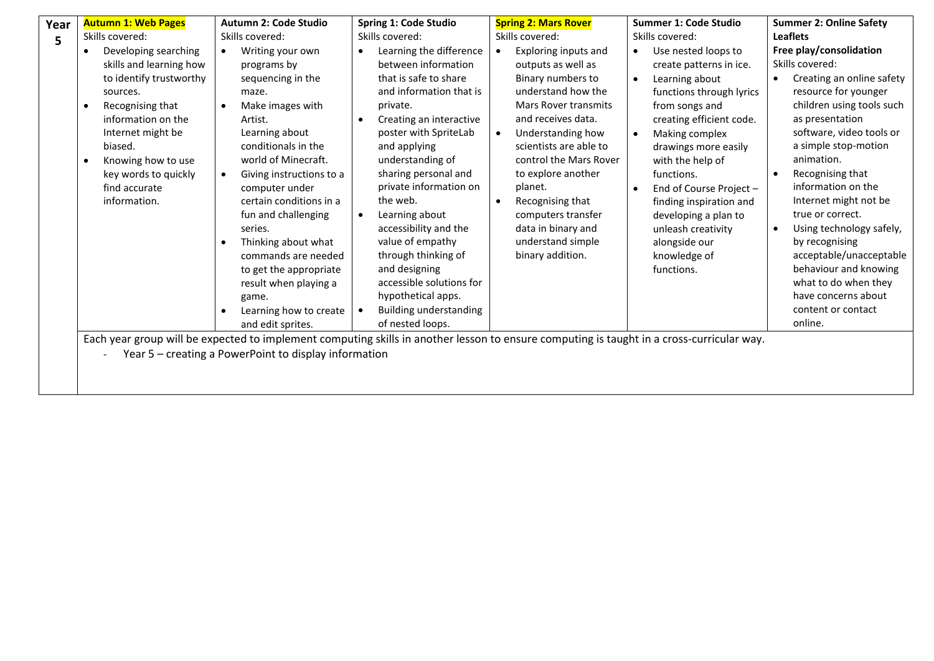| Year | <b>Autumn 1: Web Pages</b>                                                                                                                                                                                                                      | Autumn 2: Code Studio                                                                                                                                                                                                                                                                                                                                                                                                                         | Spring 1: Code Studio                                                                                                                                                                                                                                                                                                                                                                                                                                                                                                     | <b>Spring 2: Mars Rover</b>                                                                                                                                                                                                                                                                                                                                   | Summer 1: Code Studio                                                                                                                                                                                                                                                                                                                                                                                            | <b>Summer 2: Online Safety</b>                                                                                                                                                                                                                                                                                                                                                                                                                                                             |
|------|-------------------------------------------------------------------------------------------------------------------------------------------------------------------------------------------------------------------------------------------------|-----------------------------------------------------------------------------------------------------------------------------------------------------------------------------------------------------------------------------------------------------------------------------------------------------------------------------------------------------------------------------------------------------------------------------------------------|---------------------------------------------------------------------------------------------------------------------------------------------------------------------------------------------------------------------------------------------------------------------------------------------------------------------------------------------------------------------------------------------------------------------------------------------------------------------------------------------------------------------------|---------------------------------------------------------------------------------------------------------------------------------------------------------------------------------------------------------------------------------------------------------------------------------------------------------------------------------------------------------------|------------------------------------------------------------------------------------------------------------------------------------------------------------------------------------------------------------------------------------------------------------------------------------------------------------------------------------------------------------------------------------------------------------------|--------------------------------------------------------------------------------------------------------------------------------------------------------------------------------------------------------------------------------------------------------------------------------------------------------------------------------------------------------------------------------------------------------------------------------------------------------------------------------------------|
| 5    | Skills covered:                                                                                                                                                                                                                                 | Skills covered:                                                                                                                                                                                                                                                                                                                                                                                                                               | Skills covered:                                                                                                                                                                                                                                                                                                                                                                                                                                                                                                           | Skills covered:                                                                                                                                                                                                                                                                                                                                               | Skills covered:                                                                                                                                                                                                                                                                                                                                                                                                  | <b>Leaflets</b>                                                                                                                                                                                                                                                                                                                                                                                                                                                                            |
|      | Developing searching<br>skills and learning how<br>to identify trustworthy<br>sources.<br>Recognising that<br>information on the<br>Internet might be<br>biased.<br>Knowing how to use<br>key words to quickly<br>find accurate<br>information. | Writing your own<br>programs by<br>sequencing in the<br>maze.<br>Make images with<br>Artist.<br>Learning about<br>conditionals in the<br>world of Minecraft.<br>Giving instructions to a<br>$\bullet$<br>computer under<br>certain conditions in a<br>fun and challenging<br>series.<br>Thinking about what<br>commands are needed<br>to get the appropriate<br>result when playing a<br>game.<br>Learning how to create<br>and edit sprites. | Learning the difference<br>$\bullet$<br>between information<br>that is safe to share<br>and information that is<br>private.<br>Creating an interactive<br>$\bullet$<br>poster with SpriteLab<br>and applying<br>understanding of<br>sharing personal and<br>private information on<br>the web.<br>Learning about<br>$\bullet$<br>accessibility and the<br>value of empathy<br>through thinking of<br>and designing<br>accessible solutions for<br>hypothetical apps.<br><b>Building understanding</b><br>of nested loops. | Exploring inputs and<br>outputs as well as<br>Binary numbers to<br>understand how the<br><b>Mars Rover transmits</b><br>and receives data.<br>Understanding how<br>scientists are able to<br>control the Mars Rover<br>to explore another<br>planet.<br>Recognising that<br>computers transfer<br>data in binary and<br>understand simple<br>binary addition. | Use nested loops to<br>$\bullet$<br>create patterns in ice.<br>Learning about<br>$\bullet$<br>functions through lyrics<br>from songs and<br>creating efficient code.<br>Making complex<br>$\bullet$<br>drawings more easily<br>with the help of<br>functions.<br>End of Course Project -<br>finding inspiration and<br>developing a plan to<br>unleash creativity<br>alongside our<br>knowledge of<br>functions. | Free play/consolidation<br>Skills covered:<br>Creating an online safety<br>resource for younger<br>children using tools such<br>as presentation<br>software, video tools or<br>a simple stop-motion<br>animation.<br>Recognising that<br>information on the<br>Internet might not be<br>true or correct.<br>Using technology safely,<br>by recognising<br>acceptable/unacceptable<br>behaviour and knowing<br>what to do when they<br>have concerns about<br>content or contact<br>online. |
|      |                                                                                                                                                                                                                                                 | Year 5 - creating a PowerPoint to display information                                                                                                                                                                                                                                                                                                                                                                                         |                                                                                                                                                                                                                                                                                                                                                                                                                                                                                                                           |                                                                                                                                                                                                                                                                                                                                                               | Each year group will be expected to implement computing skills in another lesson to ensure computing is taught in a cross-curricular way.                                                                                                                                                                                                                                                                        |                                                                                                                                                                                                                                                                                                                                                                                                                                                                                            |
|      |                                                                                                                                                                                                                                                 |                                                                                                                                                                                                                                                                                                                                                                                                                                               |                                                                                                                                                                                                                                                                                                                                                                                                                                                                                                                           |                                                                                                                                                                                                                                                                                                                                                               |                                                                                                                                                                                                                                                                                                                                                                                                                  |                                                                                                                                                                                                                                                                                                                                                                                                                                                                                            |